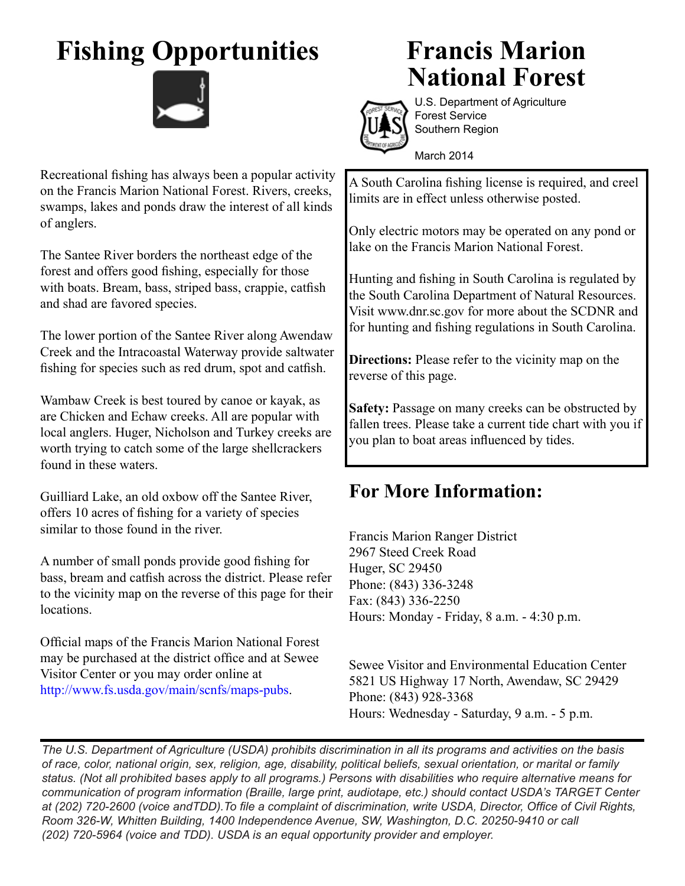## **Fishing Opportunities**



## **Francis Marion National Forest**



U.S. Department of Agriculture Forest Service Southern Region

March 2014

A South Carolina fishing license is required, and creel limits are in effect unless otherwise posted.

Only electric motors may be operated on any pond or lake on the Francis Marion National Forest.

Hunting and fishing in South Carolina is regulated by the South Carolina Department of Natural Resources. Visit www.dnr.sc.gov for more about the SCDNR and for hunting and fishing regulations in South Carolina.

**Directions:** Please refer to the vicinity map on the reverse of this page.

Safety: Passage on many creeks can be obstructed by fallen trees. Please take a current tide chart with you if you plan to boat areas influenced by tides.

## **For More Information:**

Francis Marion Ranger District 2967 Steed Creek Road Huger, SC 29450 Phone: (843) 336-3248 Fax: (843) 336-2250 Hours: Monday - Friday, 8 a.m. - 4:30 p.m.

Sewee Visitor and Environmental Education Center 5821 US Highway 17 North, Awendaw, SC 29429 Phone: (843) 928-3368 Hours: Wednesday - Saturday, 9 a.m. - 5 p.m.

*The U.S. Department of Agriculture (USDA) prohibits discrimination in all its programs and activities on the basis of race, color, national origin, sex, religion, age, disability, political beliefs, sexual orientation, or marital or family status. (Not all prohibited bases apply to all programs.) Persons with disabilities who require alternative means for communication of program information (Braille, large print, audiotape, etc.) should contact USDA's TARGET Center at (202) 720-2600 (voice andTDD).To file a complaint of discrimination, write USDA, Director, Office of Civil Rights, Room 326-W, Whitten Building, 1400 Independence Avenue, SW, Washington, D.C. 20250-9410 or call (202) 720-5964 (voice and TDD). USDA is an equal opportunity provider and employer.*

Recreational fishing has always been a popular activity on the Francis Marion National Forest. Rivers, creeks, swamps, lakes and ponds draw the interest of all kinds of anglers.

The Santee River borders the northeast edge of the forest and offers good fishing, especially for those with boats. Bream, bass, striped bass, crappie, catfish and shad are favored species.

The lower portion of the Santee River along Awendaw Creek and the Intracoastal Waterway provide saltwater fishing for species such as red drum, spot and catfish.

Wambaw Creek is best toured by canoe or kayak, as are Chicken and Echaw creeks. All are popular with local anglers. Huger, Nicholson and Turkey creeks are worth trying to catch some of the large shellcrackers found in these waters.

Guilliard Lake, an old oxbow off the Santee River, offers 10 acres of fishing for a variety of species similar to those found in the river.

A number of small ponds provide good fishing for bass, bream and catfish across the district. Please refer to the vicinity map on the reverse of this page for their locations.

Official maps of the Francis Marion National Forest may be purchased at the district office and at Sewee Visitor Center or you may order online at http://www.fs.usda.gov/main/scnfs/maps-pubs.